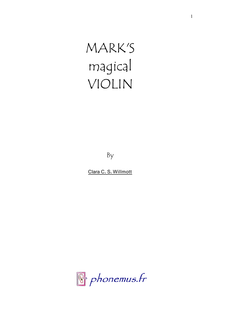MARK'S magical VIOLIN

By

Clara C. S. Willmott

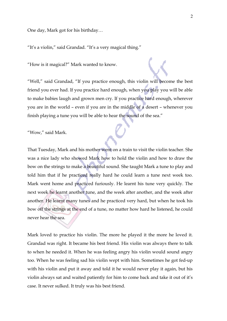One day, Mark got for his birthday…

"It's a violin," said Grandad. "It's a very magical thing."

"How is it magical?" Mark wanted to know.

"Well," said Grandad, "If you practice enough, this violin will become the best friend you ever had. If you practice hard enough, when you play you will be able to make babies laugh and grown men cry. If you practice hard enough, wherever you are in the world – even if you are in the middle of a desert – whenever you finish playing a tune you will be able to hear the sound of the sea."

"Wow," said Mark.

That Tuesday, Mark and his mother went on a train to visit the violin teacher. She was a nice lady who showed Mark how to hold the violin and how to draw the bow on the strings to make a beautiful sound. She taught Mark a tune to play and told him that if he practiced really hard he could learn a tune next week too. Mark went home and practiced furiously. He learnt his tune very quickly. The next week he learnt another tune, and the week after another, and the week after another. He learnt many tunes and he practiced very hard, but when he took his bow off the strings at the end of a tune, no matter how hard he listened, he could never hear the sea.

Mark loved to practice his violin. The more he played it the more he loved it. Grandad was right. It became his best friend. His violin was always there to talk to when he needed it. When he was feeling angry his violin would sound angry too. When he was feeling sad his violin wept with him. Sometimes he got fed-up with his violin and put it away and told it he would never play it again, but his violin always sat and waited patiently for him to come back and take it out of it's case. It never sulked. It truly was his best friend.